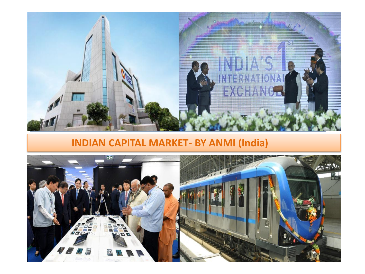

### **INDIAN CAPITAL MARKET- BY ANMI (India)**

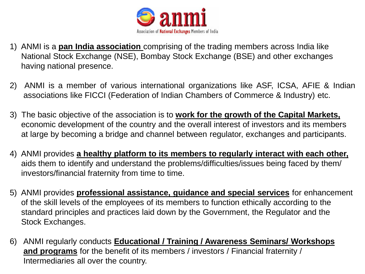

- 1) ANMI is a **pan India association** comprising of the trading members across India like National Stock Exchange (NSE), Bombay Stock Exchange (BSE) and other exchanges having national presence.
- 2) ANMI is a member of various international organizations like ASF, ICSA, AFIE & Indian associations like FICCI (Federation of Indian Chambers of Commerce & Industry) etc.
- 3) The basic objective of the association is to **work for the growth of the Capital Markets,** economic development of the country and the overall interest of investors and its members at large by becoming a bridge and channel between regulator, exchanges and participants.
- 4) ANMI provides **a healthy platform to its members to regularly interact with each other,** aids them to identify and understand the problems/difficulties/issues being faced by them/ investors/financial fraternity from time to time.
- 5) ANMI provides **professional assistance, guidance and special services** for enhancement of the skill levels of the employees of its members to function ethically according to the standard principles and practices laid down by the Government, the Regulator and the Stock Exchanges.
- 6) ANMI regularly conducts **Educational / Training / Awareness Seminars/ Workshops and programs** for the benefit of its members / investors / Financial fraternity / Intermediaries all over the country.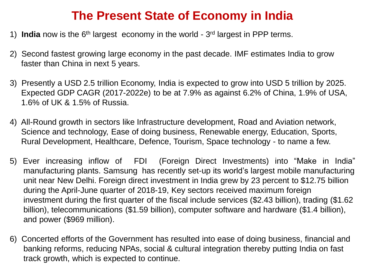## **The Present State of Economy in India**

- 1) India now is the 6<sup>th</sup> largest economy in the world 3<sup>rd</sup> largest in PPP terms.
- 2) Second fastest growing large economy in the past decade. IMF estimates India to grow faster than China in next 5 years.
- 3) Presently a USD 2.5 trillion Economy, India is expected to grow into USD 5 trillion by 2025. Expected GDP CAGR (2017-2022e) to be at 7.9% as against 6.2% of China, 1.9% of USA, 1.6% of UK & 1.5% of Russia.
- 4) All-Round growth in sectors like Infrastructure development, Road and Aviation network, Science and technology, Ease of doing business, Renewable energy, Education, Sports, Rural Development, Healthcare, Defence, Tourism, Space technology - to name a few.
- 5) Ever increasing inflow of FDI (Foreign Direct Investments) into "Make in India" manufacturing plants. Samsung has recently set-up its world's largest mobile manufacturing unit near New Delhi. Foreign direct investment in India grew by 23 percent to \$12.75 billion during the April-June quarter of 2018-19, Key sectors received maximum foreign investment during the first quarter of the fiscal include services (\$2.43 billion), trading (\$1.62 billion), telecommunications (\$1.59 billion), computer software and hardware (\$1.4 billion), and power (\$969 million).
- 6) Concerted efforts of the Government has resulted into ease of doing business, financial and banking reforms, reducing NPAs, social & cultural integration thereby putting India on fast track growth, which is expected to continue.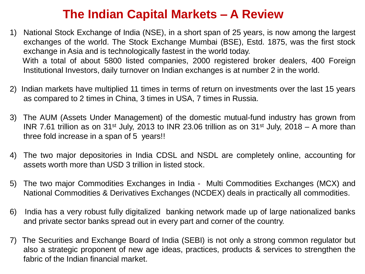## **The Indian Capital Markets – A Review**

- 1) National Stock Exchange of India (NSE), in a short span of 25 years, is now among the largest exchanges of the world. The Stock Exchange Mumbai (BSE), Estd. 1875, was the first stock exchange in Asia and is technologically fastest in the world today. With a total of about 5800 listed companies, 2000 registered broker dealers, 400 Foreign Institutional Investors, daily turnover on Indian exchanges is at number 2 in the world.
- 2) Indian markets have multiplied 11 times in terms of return on investments over the last 15 years as compared to 2 times in China, 3 times in USA, 7 times in Russia.
- 3) The AUM (Assets Under Management) of the domestic mutual-fund industry has grown from INR 7.61 trillion as on 31<sup>st</sup> July, 2013 to INR 23.06 trillion as on 31<sup>st</sup> July, 2018 – A more than three fold increase in a span of 5 years!!
- 4) The two major depositories in India CDSL and NSDL are completely online, accounting for assets worth more than USD 3 trillion in listed stock.
- 5) The two major Commodities Exchanges in India Multi Commodities Exchanges (MCX) and National Commodities & Derivatives Exchanges (NCDEX) deals in practically all commodities.
- 6) India has a very robust fully digitalized banking network made up of large nationalized banks and private sector banks spread out in every part and corner of the country.
- 7) The Securities and Exchange Board of India (SEBI) is not only a strong common regulator but also a strategic proponent of new age ideas, practices, products & services to strengthen the fabric of the Indian financial market.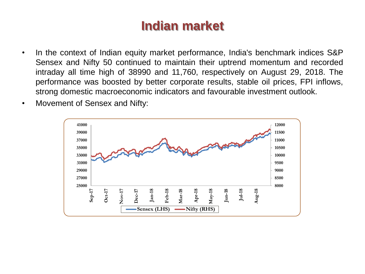# **Indian market**

- In the context of Indian equity market performance, India's benchmark indices S&P Sensex and Nifty 50 continued to maintain their uptrend momentum and recorded intraday all time high of 38990 and 11,760, respectively on August 29, 2018. The performance was boosted by better corporate results, stable oil prices, FPI inflows, strong domestic macroeconomic indicators and favourable investment outlook.
- Movement of Sensex and Nifty:

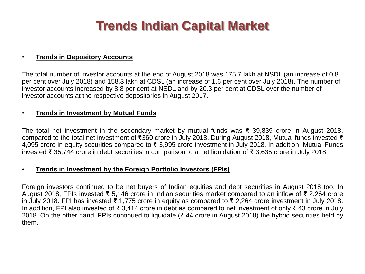# **Trends Indian Capital Market**

#### • **Trends in Depository Accounts**

The total number of investor accounts at the end of August 2018 was 175.7 lakh at NSDL (an increase of 0.8 per cent over July 2018) and 158.3 lakh at CDSL (an increase of 1.6 per cent over July 2018). The number of investor accounts increased by 8.8 per cent at NSDL and by 20.3 per cent at CDSL over the number of investor accounts at the respective depositories in August 2017.

#### • **Trends in Investment by Mutual Funds**

The total net investment in the secondary market by mutual funds was ₹ 39,839 crore in August 2018, compared to the total net investment of ₹360 crore in July 2018. During August 2018, Mutual funds invested ₹ 4,095 crore in equity securities compared to ₹ 3,995 crore investment in July 2018. In addition, Mutual Funds invested ₹ 35,744 crore in debt securities in comparison to a net liquidation of ₹ 3,635 crore in July 2018.

#### • **Trends in Investment by the Foreign Portfolio Investors (FPIs)**

Foreign investors continued to be net buyers of Indian equities and debt securities in August 2018 too. In August 2018, FPIs invested ₹ 5,146 crore in Indian securities market compared to an inflow of ₹ 2,264 crore in July 2018. FPI has invested ₹ 1,775 crore in equity as compared to ₹ 2,264 crore investment in July 2018. In addition, FPI also invested of ₹ 3,414 crore in debt as compared to net investment of only ₹ 43 crore in July 2018. On the other hand, FPIs continued to liquidate (₹ 44 crore in August 2018) the hybrid securities held by them.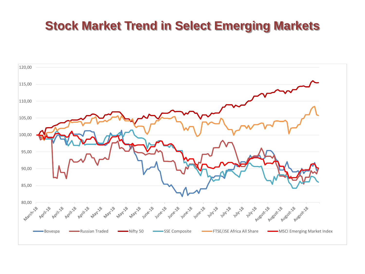## **Stock Market Trend in Select Emerging Markets**

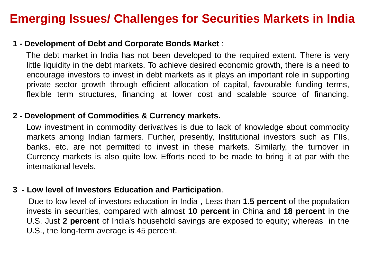# **Emerging Issues/ Challenges for Securities Markets in India**

### **1 - Development of Debt and Corporate Bonds Market** :

The debt market in India has not been developed to the required extent. There is very little liquidity in the debt markets. To achieve desired economic growth, there is a need to encourage investors to invest in debt markets as it plays an important role in supporting private sector growth through efficient allocation of capital, favourable funding terms, flexible term structures, financing at lower cost and scalable source of financing.

### **2 - Development of Commodities & Currency markets.**

Low investment in commodity derivatives is due to lack of knowledge about commodity markets among Indian farmers. Further, presently, Institutional investors such as FIIs, banks, etc. are not permitted to invest in these markets. Similarly, the turnover in Currency markets is also quite low. Efforts need to be made to bring it at par with the international levels.

#### **3 - Low level of Investors Education and Participation**.

Due to low level of investors education in India , Less than **1.5 percent** of the population invests in securities, compared with almost **10 percent** in China and **18 percent** in the U.S. Just **2 percent** of India's household savings are exposed to equity; whereas in the U.S., the long-term average is 45 percent.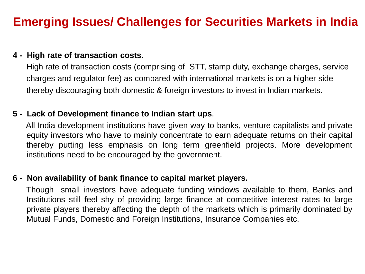# **Emerging Issues/ Challenges for Securities Markets in India**

#### **4 - High rate of transaction costs.**

High rate of transaction costs (comprising of STT, stamp duty, exchange charges, service charges and regulator fee) as compared with international markets is on a higher side thereby discouraging both domestic & foreign investors to invest in Indian markets.

### **5 - Lack of Development finance to Indian start ups**.

All India development institutions have given way to banks, venture capitalists and private equity investors who have to mainly concentrate to earn adequate returns on their capital thereby putting less emphasis on long term greenfield projects. More development institutions need to be encouraged by the government.

### **6 - Non availability of bank finance to capital market players.**

Though small investors have adequate funding windows available to them, Banks and Institutions still feel shy of providing large finance at competitive interest rates to large private players thereby affecting the depth of the markets which is primarily dominated by Mutual Funds, Domestic and Foreign Institutions, Insurance Companies etc.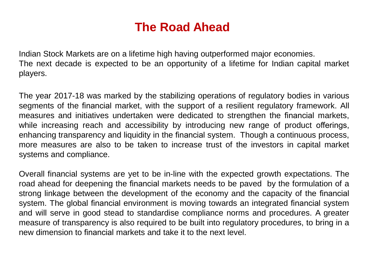# **The Road Ahead**

Indian Stock Markets are on a lifetime high having outperformed major economies. The next decade is expected to be an opportunity of a lifetime for Indian capital market players.

The year 2017-18 was marked by the stabilizing operations of regulatory bodies in various segments of the financial market, with the support of a resilient regulatory framework. All measures and initiatives undertaken were dedicated to strengthen the financial markets, while increasing reach and accessibility by introducing new range of product offerings, enhancing transparency and liquidity in the financial system. Though a continuous process, more measures are also to be taken to increase trust of the investors in capital market systems and compliance.

Overall financial systems are yet to be in-line with the expected growth expectations. The road ahead for deepening the financial markets needs to be paved by the formulation of a strong linkage between the development of the economy and the capacity of the financial system. The global financial environment is moving towards an integrated financial system and will serve in good stead to standardise compliance norms and procedures. A greater measure of transparency is also required to be built into regulatory procedures, to bring in a new dimension to financial markets and take it to the next level.